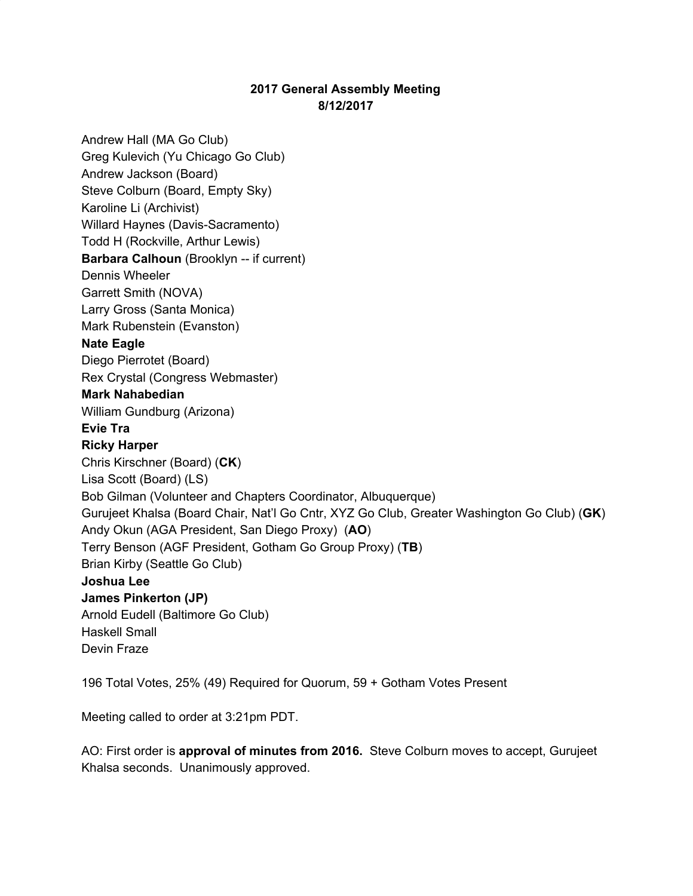# **2017 General Assembly Meeting 8/12/2017**

Andrew Hall (MA Go Club) Greg Kulevich (Yu Chicago Go Club) Andrew Jackson (Board) Steve Colburn (Board, Empty Sky) Karoline Li (Archivist) Willard Haynes (Davis-Sacramento) Todd H (Rockville, Arthur Lewis) **Barbara Calhoun** (Brooklyn -- if current) Dennis Wheeler Garrett Smith (NOVA) Larry Gross (Santa Monica) Mark Rubenstein (Evanston) **Nate Eagle** Diego Pierrotet (Board) Rex Crystal (Congress Webmaster) **Mark Nahabedian** William Gundburg (Arizona) **Evie Tra Ricky Harper** Chris Kirschner (Board) (**CK**) Lisa Scott (Board) (LS) Bob Gilman (Volunteer and Chapters Coordinator, Albuquerque) Gurujeet Khalsa (Board Chair, Nat'l Go Cntr, XYZ Go Club, Greater Washington Go Club) (**GK**) Andy Okun (AGA President, San Diego Proxy) (**AO**) Terry Benson (AGF President, Gotham Go Group Proxy) (**TB**) Brian Kirby (Seattle Go Club) **Joshua Lee James Pinkerton (JP)** Arnold Eudell (Baltimore Go Club) Haskell Small Devin Fraze

196 Total Votes, 25% (49) Required for Quorum, 59 + Gotham Votes Present

Meeting called to order at 3:21pm PDT.

AO: First order is **approval of minutes from 2016.** Steve Colburn moves to accept, Gurujeet Khalsa seconds. Unanimously approved.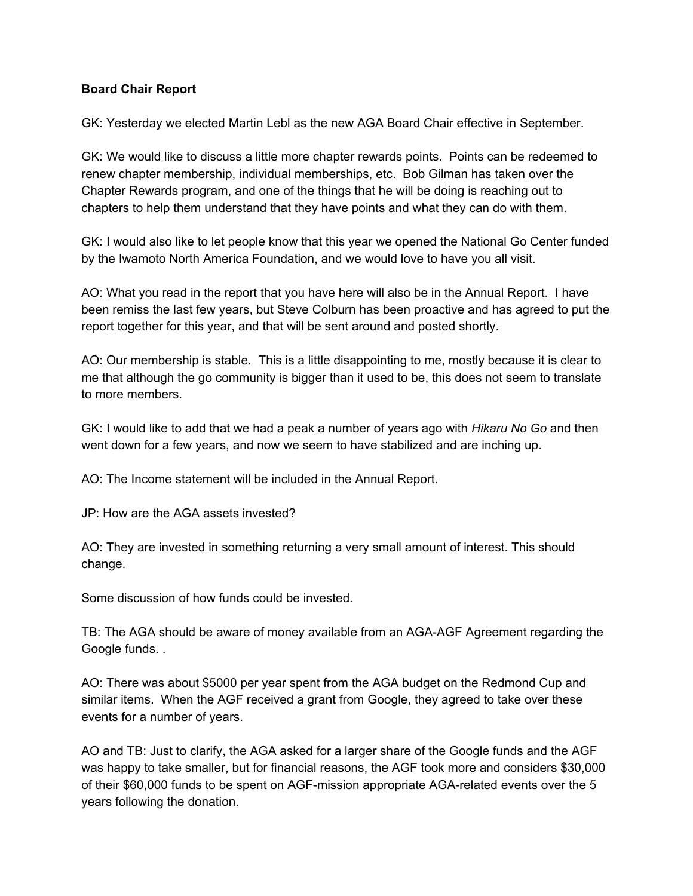### **Board Chair Report**

GK: Yesterday we elected Martin Lebl as the new AGA Board Chair effective in September.

GK: We would like to discuss a little more chapter rewards points. Points can be redeemed to renew chapter membership, individual memberships, etc. Bob Gilman has taken over the Chapter Rewards program, and one of the things that he will be doing is reaching out to chapters to help them understand that they have points and what they can do with them.

GK: I would also like to let people know that this year we opened the National Go Center funded by the Iwamoto North America Foundation, and we would love to have you all visit.

AO: What you read in the report that you have here will also be in the Annual Report. I have been remiss the last few years, but Steve Colburn has been proactive and has agreed to put the report together for this year, and that will be sent around and posted shortly.

AO: Our membership is stable. This is a little disappointing to me, mostly because it is clear to me that although the go community is bigger than it used to be, this does not seem to translate to more members.

GK: I would like to add that we had a peak a number of years ago with *Hikaru No Go* and then went down for a few years, and now we seem to have stabilized and are inching up.

AO: The Income statement will be included in the Annual Report.

JP: How are the AGA assets invested?

AO: They are invested in something returning a very small amount of interest. This should change.

Some discussion of how funds could be invested.

TB: The AGA should be aware of money available from an AGA-AGF Agreement regarding the Google funds. .

AO: There was about \$5000 per year spent from the AGA budget on the Redmond Cup and similar items. When the AGF received a grant from Google, they agreed to take over these events for a number of years.

AO and TB: Just to clarify, the AGA asked for a larger share of the Google funds and the AGF was happy to take smaller, but for financial reasons, the AGF took more and considers \$30,000 of their \$60,000 funds to be spent on AGF-mission appropriate AGA-related events over the 5 years following the donation.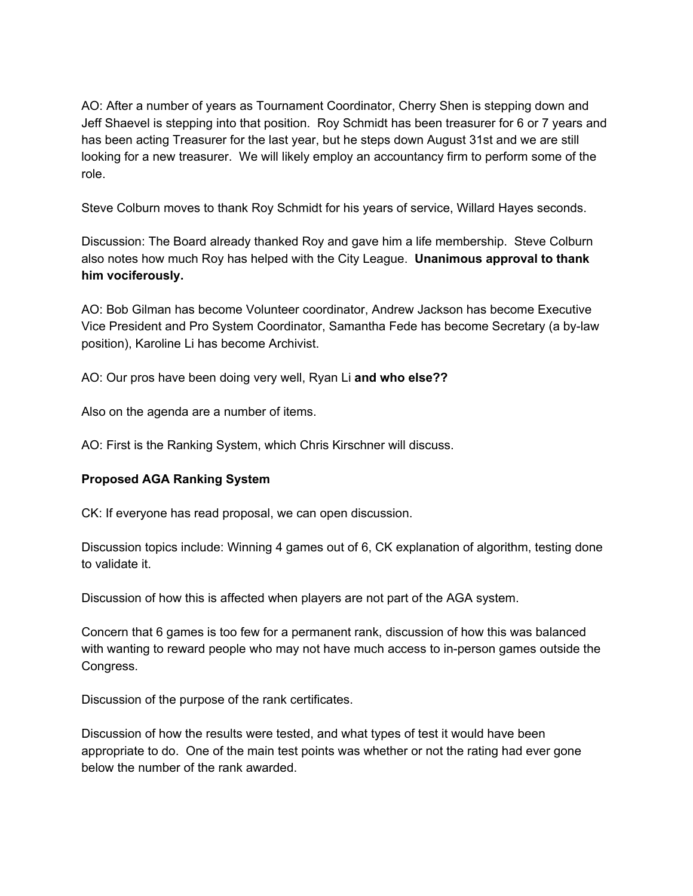AO: After a number of years as Tournament Coordinator, Cherry Shen is stepping down and Jeff Shaevel is stepping into that position. Roy Schmidt has been treasurer for 6 or 7 years and has been acting Treasurer for the last year, but he steps down August 31st and we are still looking for a new treasurer. We will likely employ an accountancy firm to perform some of the role.

Steve Colburn moves to thank Roy Schmidt for his years of service, Willard Hayes seconds.

Discussion: The Board already thanked Roy and gave him a life membership. Steve Colburn also notes how much Roy has helped with the City League. **Unanimous approval to thank him vociferously.**

AO: Bob Gilman has become Volunteer coordinator, Andrew Jackson has become Executive Vice President and Pro System Coordinator, Samantha Fede has become Secretary (a by-law position), Karoline Li has become Archivist.

AO: Our pros have been doing very well, Ryan Li **and who else??**

Also on the agenda are a number of items.

AO: First is the Ranking System, which Chris Kirschner will discuss.

#### **Proposed AGA Ranking System**

CK: If everyone has read proposal, we can open discussion.

Discussion topics include: Winning 4 games out of 6, CK explanation of algorithm, testing done to validate it.

Discussion of how this is affected when players are not part of the AGA system.

Concern that 6 games is too few for a permanent rank, discussion of how this was balanced with wanting to reward people who may not have much access to in-person games outside the Congress.

Discussion of the purpose of the rank certificates.

Discussion of how the results were tested, and what types of test it would have been appropriate to do. One of the main test points was whether or not the rating had ever gone below the number of the rank awarded.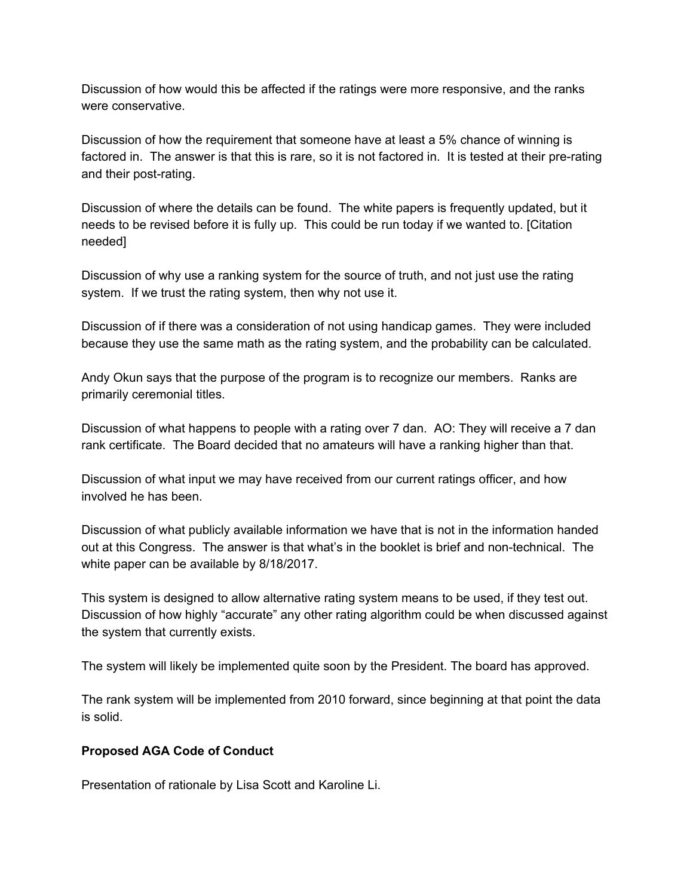Discussion of how would this be affected if the ratings were more responsive, and the ranks were conservative.

Discussion of how the requirement that someone have at least a 5% chance of winning is factored in. The answer is that this is rare, so it is not factored in. It is tested at their pre-rating and their post-rating.

Discussion of where the details can be found. The white papers is frequently updated, but it needs to be revised before it is fully up. This could be run today if we wanted to. [Citation needed]

Discussion of why use a ranking system for the source of truth, and not just use the rating system. If we trust the rating system, then why not use it.

Discussion of if there was a consideration of not using handicap games. They were included because they use the same math as the rating system, and the probability can be calculated.

Andy Okun says that the purpose of the program is to recognize our members. Ranks are primarily ceremonial titles.

Discussion of what happens to people with a rating over 7 dan. AO: They will receive a 7 dan rank certificate. The Board decided that no amateurs will have a ranking higher than that.

Discussion of what input we may have received from our current ratings officer, and how involved he has been.

Discussion of what publicly available information we have that is not in the information handed out at this Congress. The answer is that what's in the booklet is brief and non-technical. The white paper can be available by 8/18/2017.

This system is designed to allow alternative rating system means to be used, if they test out. Discussion of how highly "accurate" any other rating algorithm could be when discussed against the system that currently exists.

The system will likely be implemented quite soon by the President. The board has approved.

The rank system will be implemented from 2010 forward, since beginning at that point the data is solid.

# **Proposed AGA Code of Conduct**

Presentation of rationale by Lisa Scott and Karoline Li.